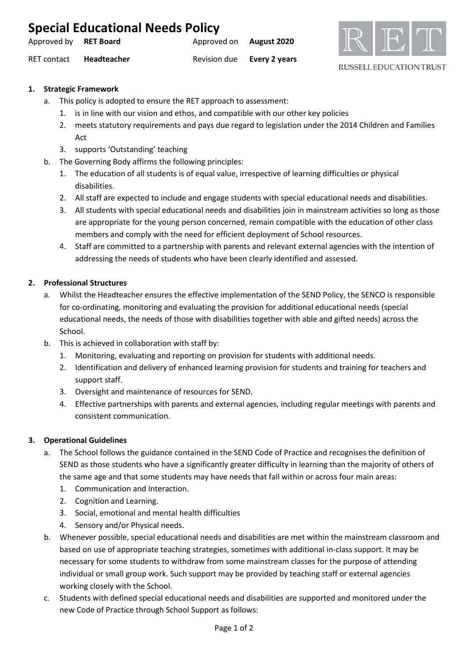| <b>Special Educational Needs Policy</b> |             |                                |                            |  |  |
|-----------------------------------------|-------------|--------------------------------|----------------------------|--|--|
| Approved by <b>RET Board</b>            |             | Approved on <b>August 2020</b> |                            |  |  |
| RET contact                             | Headteacher |                                | Revision due Every 2 years |  |  |



### RUSSELL EDUCATION TRUST

# **1. Strategic Framework**

- a. This policy is adopted to ensure the RET approach to assessment:
	- 1. is in line with our vision and ethos, and compatible with our other key policies
	- 2. meets statutory requirements and pays due regard to legislation under the 2014 Children and Families Act
	- 3. supports 'Outstanding' teaching
- b. The Governing Body affirms the following principles:
	- 1. The education of all students is of equal value, irrespective of learning difficulties or physical disabilities.
	- 2. All staff are expected to include and engage students with special educational needs and disabilities.
	- 3. All students with special educational needs and disabilities join in mainstream activities so long as those are appropriate for the young person concerned, remain compatible with the education of other class members and comply with the need for efficient deployment of School resources.
	- 4. Staff are committed to a partnership with parents and relevant external agencies with the intention of addressing the needs of students who have been clearly identified and assessed.

## **2. Professional Structures**

- a. Whilst the Headteacher ensures the effective implementation of the SEND Policy, the SENCO is responsible for co-ordinating, monitoring and evaluating the provision for additional educational needs (special educational needs, the needs of those with disabilities together with able and gifted needs) across the School.
- b. This is achieved in collaboration with staff by:
	- 1. Monitoring, evaluating and reporting on provision for students with additional needs.
	- 2. Identification and delivery of enhanced learning provision for students and training for teachers and support staff.
	- 3. Oversight and maintenance of resources for SEND.
	- 4. Effective partnerships with parents and external agencies, including regular meetings with parents and consistent communication.

### **3. Operational Guidelines**

- a. The School follows the guidance contained in the SEND Code of Practice and recognises the definition of SEND as those students who have a significantly greater difficulty in learning than the majority of others of the same age and that some students may have needs that fall within or across four main areas:
	- 1. Communication and Interaction.
	- 2. Cognition and Learning.
	- 3. Social, emotional and mental health difficulties
	- 4. Sensory and/or Physical needs.
- b. Whenever possible, special educational needs and disabilities are met within the mainstream classroom and based on use of appropriate teaching strategies, sometimes with additional in-class support. It may be necessary for some students to withdraw from some mainstream classes for the purpose of attending individual or small group work. Such support may be provided by teaching staff or external agencies working closely with the School.
- c. Students with defined special educational needs and disabilities are supported and monitored under the new Code of Practice through School Support as follows: